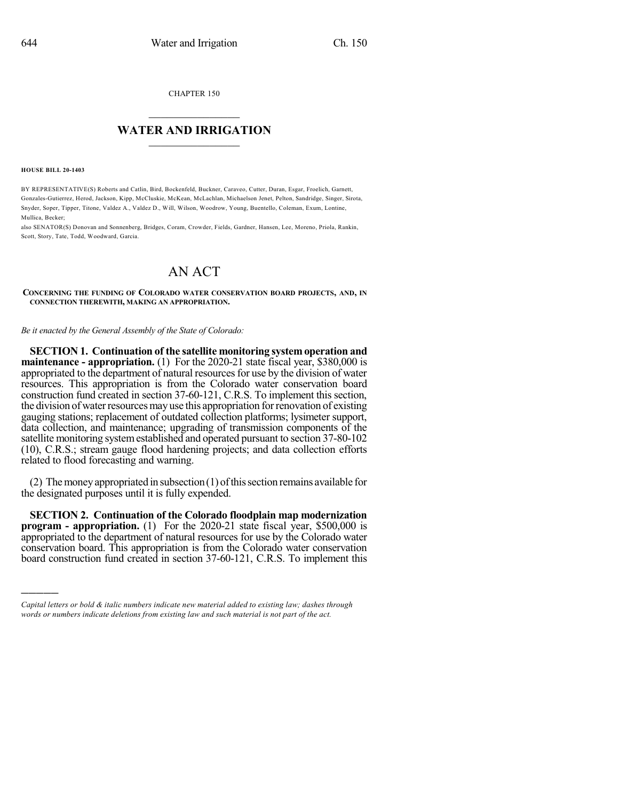CHAPTER 150

## $\overline{\phantom{a}}$  . The set of the set of the set of the set of the set of the set of the set of the set of the set of the set of the set of the set of the set of the set of the set of the set of the set of the set of the set o **WATER AND IRRIGATION**  $\_$   $\_$

**HOUSE BILL 20-1403**

)))))

BY REPRESENTATIVE(S) Roberts and Catlin, Bird, Bockenfeld, Buckner, Caraveo, Cutter, Duran, Esgar, Froelich, Garnett, Gonzales-Gutierrez, Herod, Jackson, Kipp, McCluskie, McKean, McLachlan, Michaelson Jenet, Pelton, Sandridge, Singer, Sirota, Snyder, Soper, Tipper, Titone, Valdez A., Valdez D., Will, Wilson, Woodrow, Young, Buentello, Coleman, Exum, Lontine, Mullica, Becker;

also SENATOR(S) Donovan and Sonnenberg, Bridges, Coram, Crowder, Fields, Gardner, Hansen, Lee, Moreno, Priola, Rankin, Scott, Story, Tate, Todd, Woodward, Garcia.

## AN ACT

**CONCERNING THE FUNDING OF COLORADO WATER CONSERVATION BOARD PROJECTS, AND, IN CONNECTION THEREWITH, MAKING AN APPROPRIATION.**

*Be it enacted by the General Assembly of the State of Colorado:*

**SECTION 1. Continuation of the satellite monitoring system operation and maintenance - appropriation.** (1) For the 2020-21 state fiscal year, \$380,000 is appropriated to the department of natural resources for use by the division of water resources. This appropriation is from the Colorado water conservation board construction fund created in section 37-60-121, C.R.S. To implement this section, the division of water resources may use this appropriation for renovation of existing gauging stations; replacement of outdated collection platforms; lysimeter support, data collection, and maintenance; upgrading of transmission components of the satellite monitoring system established and operated pursuant to section 37-80-102 (10), C.R.S.; stream gauge flood hardening projects; and data collection efforts related to flood forecasting and warning.

(2) The money appropriated in subsection  $(1)$  of this section remains available for the designated purposes until it is fully expended.

**SECTION 2. Continuation of the Colorado floodplain map modernization program - appropriation.** (1) For the 2020-21 state fiscal year, \$500,000 is appropriated to the department of natural resources for use by the Colorado water conservation board. This appropriation is from the Colorado water conservation board construction fund created in section 37-60-121, C.R.S. To implement this

*Capital letters or bold & italic numbers indicate new material added to existing law; dashes through words or numbers indicate deletions from existing law and such material is not part of the act.*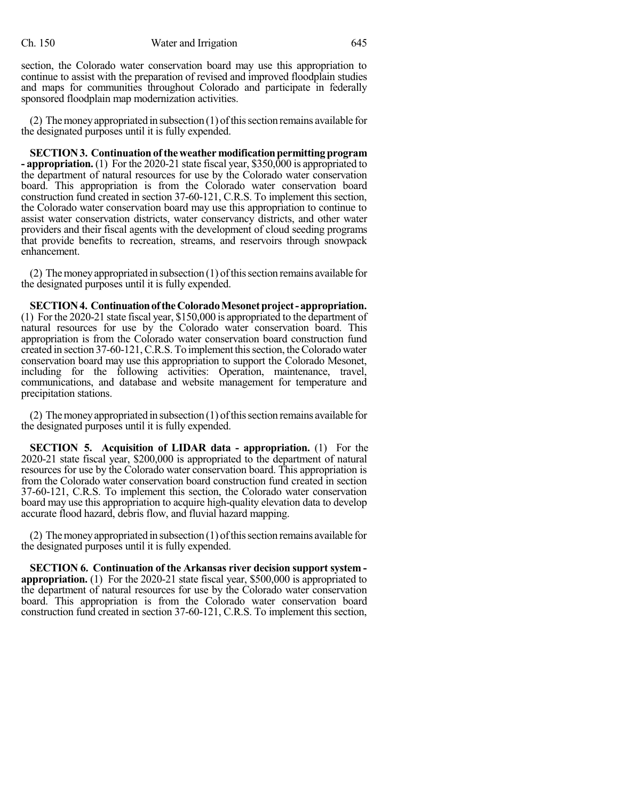section, the Colorado water conservation board may use this appropriation to continue to assist with the preparation of revised and improved floodplain studies and maps for communities throughout Colorado and participate in federally sponsored floodplain map modernization activities.

(2) The money appropriated in subsection  $(1)$  of this section remains available for the designated purposes until it is fully expended.

**SECTION3. Continuationoftheweather modificationpermittingprogram - appropriation.** (1) For the 2020-21 state fiscal year, \$350,000 is appropriated to the department of natural resources for use by the Colorado water conservation board. This appropriation is from the Colorado water conservation board construction fund created in section 37-60-121, C.R.S. To implement this section, the Colorado water conservation board may use this appropriation to continue to assist water conservation districts, water conservancy districts, and other water providers and their fiscal agents with the development of cloud seeding programs that provide benefits to recreation, streams, and reservoirs through snowpack enhancement.

(2) The money appropriated in subsection  $(1)$  of this section remains available for the designated purposes until it is fully expended.

**SECTION4. ContinuationoftheColoradoMesonetproject-appropriation.** (1) For the 2020-21 state fiscal year, \$150,000 is appropriated to the department of natural resources for use by the Colorado water conservation board. This appropriation is from the Colorado water conservation board construction fund created in section 37-60-121, C.R.S. To implement this section, the Colorado water conservation board may use this appropriation to support the Colorado Mesonet, including for the following activities: Operation, maintenance, travel, communications, and database and website management for temperature and precipitation stations.

(2) The money appropriated in subsection  $(1)$  of this section remains available for the designated purposes until it is fully expended.

**SECTION 5. Acquisition of LIDAR data - appropriation.** (1) For the 2020-21 state fiscal year, \$200,000 is appropriated to the department of natural resources for use by the Colorado water conservation board. This appropriation is from the Colorado water conservation board construction fund created in section 37-60-121, C.R.S. To implement this section, the Colorado water conservation board may use this appropriation to acquire high-quality elevation data to develop accurate flood hazard, debris flow, and fluvial hazard mapping.

(2) The money appropriated in subsection (1) of this section remains available for the designated purposes until it is fully expended.

**SECTION 6. Continuation of the Arkansas river decision support system appropriation.** (1) For the 2020-21 state fiscal year, \$500,000 is appropriated to the department of natural resources for use by the Colorado water conservation board. This appropriation is from the Colorado water conservation board construction fund created in section 37-60-121, C.R.S. To implement this section,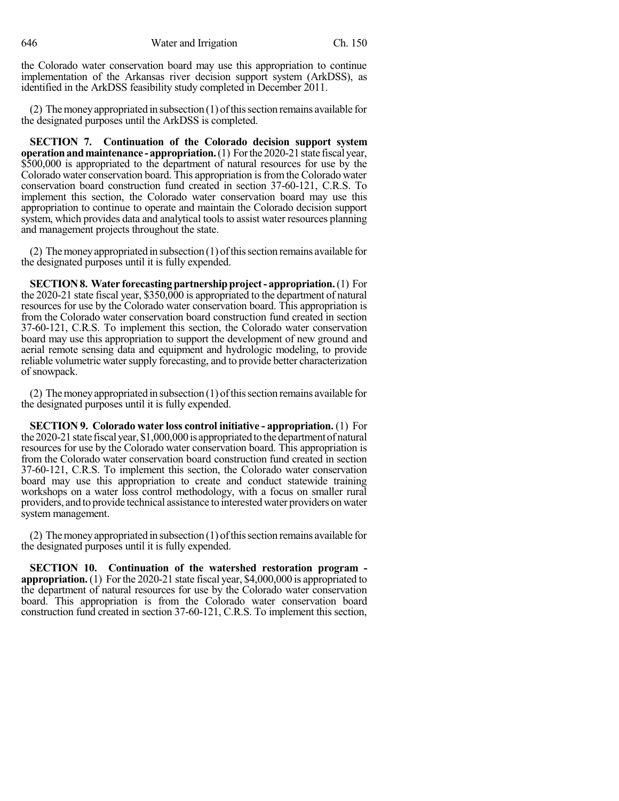646 Water and Irrigation Ch. 150

the Colorado water conservation board may use this appropriation to continue implementation of the Arkansas river decision support system (ArkDSS), as identified in the ArkDSS feasibility study completed in December 2011.

(2) The money appropriated in subsection  $(1)$  of this section remains available for the designated purposes until the ArkDSS is completed.

**SECTION 7. Continuation of the Colorado decision support system operation and maintenance - appropriation.** (1) For the 2020-21 state fiscal year, \$500,000 is appropriated to the department of natural resources for use by the Colorado water conservation board. This appropriation is from the Colorado water conservation board construction fund created in section 37-60-121, C.R.S. To implement this section, the Colorado water conservation board may use this appropriation to continue to operate and maintain the Colorado decision support system, which provides data and analytical tools to assist water resources planning and management projects throughout the state.

(2) Themoneyappropriated in subsection (1) ofthissection remains available for the designated purposes until it is fully expended.

**SECTION8. Water forecastingpartnershipproject- appropriation.**(1) For the 2020-21 state fiscal year, \$350,000 is appropriated to the department of natural resources for use by the Colorado water conservation board. This appropriation is from the Colorado water conservation board construction fund created in section 37-60-121, C.R.S. To implement this section, the Colorado water conservation board may use this appropriation to support the development of new ground and aerial remote sensing data and equipment and hydrologic modeling, to provide reliable volumetric water supply forecasting, and to provide better characterization of snowpack.

(2) The money appropriated in subsection  $(1)$  of this section remains available for the designated purposes until it is fully expended.

**SECTION 9. Colorado water loss control initiative - appropriation.** (1) For the 2020-21 state fiscal year, \$1,000,000 is appropriated to the department of natural resources for use by the Colorado water conservation board. This appropriation is from the Colorado water conservation board construction fund created in section 37-60-121, C.R.S. To implement this section, the Colorado water conservation board may use this appropriation to create and conduct statewide training workshops on a water loss control methodology, with a focus on smaller rural providers, and to provide technical assistance to interested water providers onwater system management.

(2) The money appropriated in subsection (1) of this section remains available for the designated purposes until it is fully expended.

**SECTION 10. Continuation of the watershed restoration program appropriation.** (1) For the 2020-21 state fiscal year, \$4,000,000 is appropriated to the department of natural resources for use by the Colorado water conservation board. This appropriation is from the Colorado water conservation board construction fund created in section 37-60-121, C.R.S. To implement this section,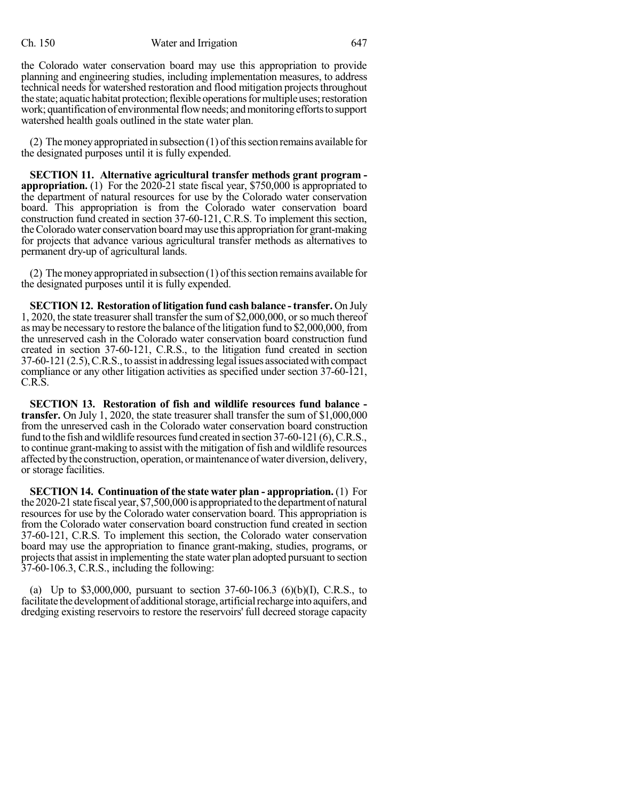the Colorado water conservation board may use this appropriation to provide planning and engineering studies, including implementation measures, to address technical needs for watershed restoration and flood mitigation projects throughout the state; aquatic habitat protection; flexible operations for multiple uses; restoration work; quantification of environmental flow needs; and monitoring efforts to support watershed health goals outlined in the state water plan.

(2) The money appropriated in subsection  $(1)$  of this section remains available for the designated purposes until it is fully expended.

**SECTION 11. Alternative agricultural transfer methods grant program appropriation.** (1) For the 2020-21 state fiscal year, \$750,000 is appropriated to the department of natural resources for use by the Colorado water conservation board. This appropriation is from the Colorado water conservation board construction fund created in section 37-60-121, C.R.S. To implement this section, theColorado water conservation boardmayuse this appropriation for grant-making for projects that advance various agricultural transfer methods as alternatives to permanent dry-up of agricultural lands.

(2) The money appropriated in subsection  $(1)$  of this section remains available for the designated purposes until it is fully expended.

**SECTION 12. Restoration of litigation fund cash balance -transfer.** On July 1, 2020, the state treasurershall transfer the sumof \$2,000,000, orso much thereof as may be necessary to restore the balance of the litigation fund to \$2,000,000, from the unreserved cash in the Colorado water conservation board construction fund created in section 37-60-121, C.R.S., to the litigation fund created in section 37-60-121 (2.5),C.R.S., to assist in addressing legalissues associatedwith compact compliance or any other litigation activities as specified under section 37-60-121, C.R.S.

**SECTION 13. Restoration of fish and wildlife resources fund balance transfer.** On July 1, 2020, the state treasurer shall transfer the sum of \$1,000,000 from the unreserved cash in the Colorado water conservation board construction fund to the fish and wildlife resourcesfund created in section 37-60-121 (6),C.R.S., to continue grant-making to assist with the mitigation of fish and wildlife resources affected bythe construction, operation, ormaintenanceofwater diversion, delivery, or storage facilities.

**SECTION 14. Continuation of the state water plan - appropriation.** (1) For the 2020-21 state fiscal year, \$7,500,000 is appropriated to the department of natural resources for use by the Colorado water conservation board. This appropriation is from the Colorado water conservation board construction fund created in section 37-60-121, C.R.S. To implement this section, the Colorado water conservation board may use the appropriation to finance grant-making, studies, programs, or projects that assist in implementing the state water plan adopted pursuant to section 37-60-106.3, C.R.S., including the following:

(a) Up to \$3,000,000, pursuant to section 37-60-106.3 (6)(b)(I), C.R.S., to facilitate the development of additional storage, artificial recharge into aquifers, and dredging existing reservoirs to restore the reservoirs' full decreed storage capacity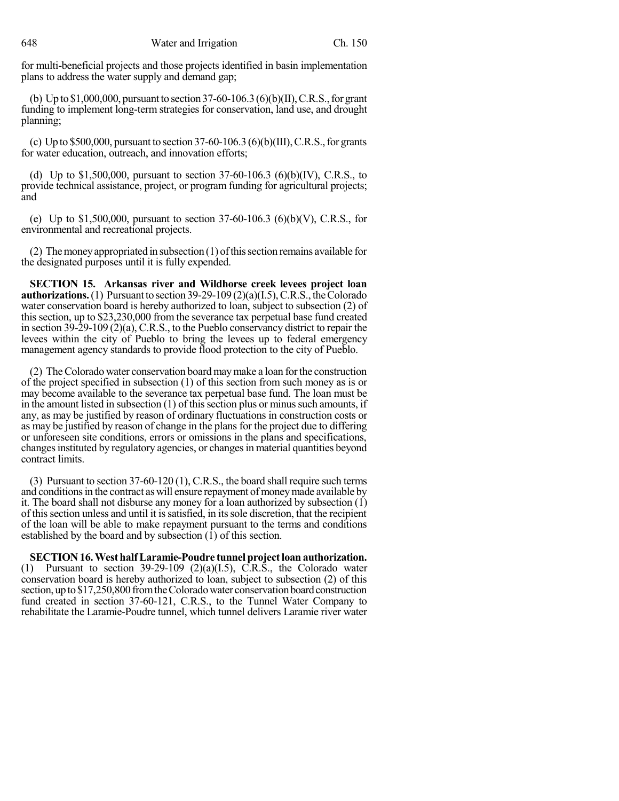for multi-beneficial projects and those projects identified in basin implementation plans to address the water supply and demand gap;

(b) Up to \$1,000,000, pursuant to section 37-60-106.3(6)(b)(II), C.R.S., for grant funding to implement long-term strategies for conservation, land use, and drought planning;

(c) Up to \$500,000, pursuant to section  $37-60-106.3$  (6)(b)(III), C.R.S., for grants for water education, outreach, and innovation efforts;

(d) Up to \$1,500,000, pursuant to section  $37-60-106.3$  (6)(b)(IV), C.R.S., to provide technical assistance, project, or program funding for agricultural projects; and

(e) Up to \$1,500,000, pursuant to section 37-60-106.3 (6)(b)(V), C.R.S., for environmental and recreational projects.

(2) Themoneyappropriated in subsection (1) ofthissection remains available for the designated purposes until it is fully expended.

**SECTION 15. Arkansas river and Wildhorse creek levees project loan authorizations.** (1) Pursuant to section  $39-29-109(2)(a)(I.5)$ , C.R.S., the Colorado water conservation board is hereby authorized to loan, subject to subsection (2) of this section, up to \$23,230,000 from the severance tax perpetual base fund created in section 39-29-109 (2)(a), C.R.S., to the Pueblo conservancy district to repair the levees within the city of Pueblo to bring the levees up to federal emergency management agency standards to provide flood protection to the city of Pueblo.

(2) TheColorado water conservation board maymake a loan forthe construction of the project specified in subsection (1) of this section from such money as is or may become available to the severance tax perpetual base fund. The loan must be in the amount listed in subsection  $(1)$  of this section plus or minus such amounts, if any, as may be justified by reason of ordinary fluctuations in construction costs or as may be justified by reason of change in the plans for the project due to differing or unforeseen site conditions, errors or omissions in the plans and specifications, changesinstituted by regulatory agencies, or changesin material quantities beyond contract limits.

(3) Pursuant to section 37-60-120 (1), C.R.S., the board shall require such terms and conditions in the contract as will ensure repayment of money made available by it. The board shall not disburse any money for a loan authorized by subsection (1) of thissection unless and until it issatisfied, in itssole discretion, that the recipient of the loan will be able to make repayment pursuant to the terms and conditions established by the board and by subsection (1) of this section.

**SECTION16.West halfLaramie-Poudre tunnel projectloan authorization.** (1) Pursuant to section  $39-29-109$  (2)(a)(1.5), C.R.S., the Colorado water conservation board is hereby authorized to loan, subject to subsection (2) of this section, up to \$17,250,800 from the Colorado water conservation board construction fund created in section 37-60-121, C.R.S., to the Tunnel Water Company to rehabilitate the Laramie-Poudre tunnel, which tunnel delivers Laramie river water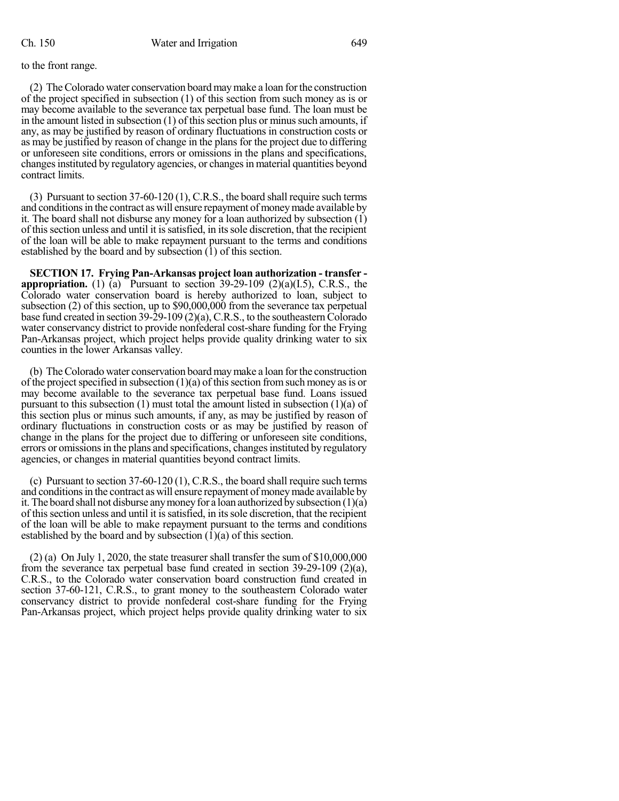## to the front range.

(2) TheColorado water conservation board maymake a loan forthe construction of the project specified in subsection (1) of this section from such money as is or may become available to the severance tax perpetual base fund. The loan must be in the amount listed in subsection  $(1)$  of this section plus or minus such amounts, if any, as may be justified by reason of ordinary fluctuations in construction costs or as may be justified by reason of change in the plans for the project due to differing or unforeseen site conditions, errors or omissions in the plans and specifications, changes instituted by regulatory agencies, or changes in material quantities beyond contract limits.

(3) Pursuant to section 37-60-120 (1), C.R.S., the board shall require such terms and conditions in the contract as will ensure repayment of money made available by it. The board shall not disburse any money for a loan authorized by subsection (1) of thissection unless and until it issatisfied, in itssole discretion, that the recipient of the loan will be able to make repayment pursuant to the terms and conditions established by the board and by subsection  $(1)$  of this section.

**SECTION 17. Frying Pan-Arkansas project loan authorization - transfer appropriation.** (1) (a) Pursuant to section  $39-29-109$  (2)(a)(I.5), C.R.S., the Colorado water conservation board is hereby authorized to loan, subject to subsection (2) of this section, up to \$90,000,000 from the severance tax perpetual base fund created in section  $39-29-109(2)(a)$ , C.R.S., to the southeastern Colorado water conservancy district to provide nonfederal cost-share funding for the Frying Pan-Arkansas project, which project helps provide quality drinking water to six counties in the lower Arkansas valley.

(b) TheColorado water conservation board maymake a loan forthe construction of the project specified in subsection  $(1)(a)$  of this section from such money as is or may become available to the severance tax perpetual base fund. Loans issued pursuant to this subsection (1) must total the amount listed in subsection (1)(a) of this section plus or minus such amounts, if any, as may be justified by reason of ordinary fluctuations in construction costs or as may be justified by reason of change in the plans for the project due to differing or unforeseen site conditions, errors or omissions in the plans and specifications, changes instituted by regulatory agencies, or changes in material quantities beyond contract limits.

(c) Pursuant to section 37-60-120 (1), C.R.S., the board shall require such terms and conditions in the contract as will ensure repayment of money made available by it. The board shall not disburse any money for a loan authorized by subsection  $(1)(a)$ of thissection unless and until it issatisfied, in itssole discretion, that the recipient of the loan will be able to make repayment pursuant to the terms and conditions established by the board and by subsection (1)(a) of this section.

 $(2)$  (a) On July 1, 2020, the state treasurer shall transfer the sum of \$10,000,000 from the severance tax perpetual base fund created in section 39-29-109 (2)(a), C.R.S., to the Colorado water conservation board construction fund created in section 37-60-121, C.R.S., to grant money to the southeastern Colorado water conservancy district to provide nonfederal cost-share funding for the Frying Pan-Arkansas project, which project helps provide quality drinking water to six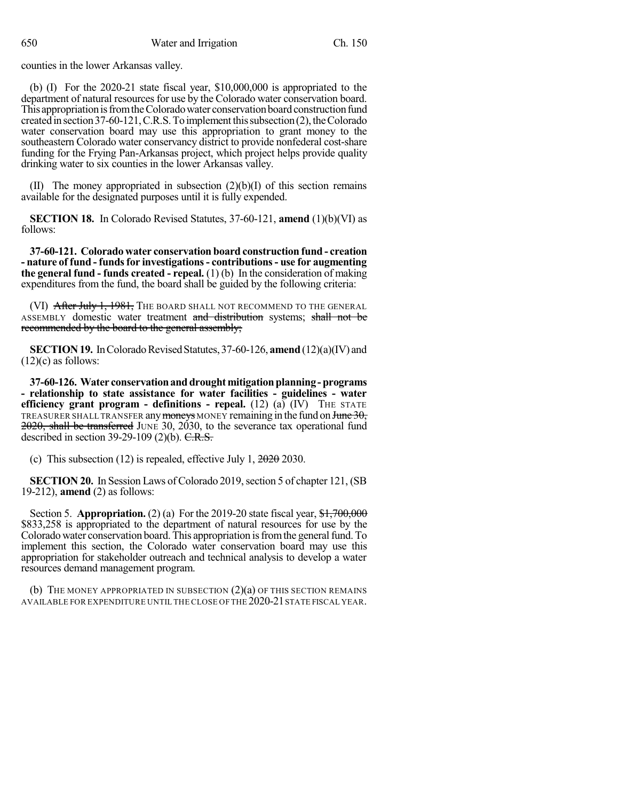counties in the lower Arkansas valley.

(b) (I) For the 2020-21 state fiscal year, \$10,000,000 is appropriated to the department of natural resources for use by the Colorado water conservation board. This appropriation is from the Colorado water conservation board construction fund created in section 37-60-121, C.R.S. To implement this subsection (2), the Colorado water conservation board may use this appropriation to grant money to the southeastern Colorado water conservancy district to provide nonfederal cost-share funding for the Frying Pan-Arkansas project, which project helps provide quality drinking water to six counties in the lower Arkansas valley.

(II) The money appropriated in subsection  $(2)(b)(I)$  of this section remains available for the designated purposes until it is fully expended.

**SECTION 18.** In Colorado Revised Statutes, 37-60-121, **amend** (1)(b)(VI) as follows:

**37-60-121. Colorado water conservation board construction fund - creation - nature of fund - fundsfor investigations- contributions- use for augmenting the general fund - funds created - repeal.** (1) (b) In the consideration of making expenditures from the fund, the board shall be guided by the following criteria:

(VI) After July 1, 1981, The board shall not recommend to the General ASSEMBLY domestic water treatment and distribution systems; shall not be recommended by the board to the general assembly;

**SECTION 19.** In Colorado Revised Statutes, 37-60-126, **amend** (12)(a)(IV) and  $(12)(c)$  as follows:

**37-60-126. Water conservationanddroughtmitigationplanning-programs - relationship to state assistance for water facilities - guidelines - water efficiency grant program - definitions - repeal.** (12) (a) (IV) THE STATE TREASURER SHALL TRANSFER any moneys MONEY remaining in the fund on  $J$ une  $30$ , 2020, shall be transferred JUNE 30, 2030, to the severance tax operational fund described in section  $39-29-109$  (2)(b). C.R.S.

(c) This subsection (12) is repealed, effective July 1,  $2020$  2030.

**SECTION 20.** In Session Laws of Colorado 2019, section 5 of chapter 121, (SB 19-212), **amend** (2) as follows:

Section 5. **Appropriation.** (2) (a) For the 2019-20 state fiscal year,  $\frac{$1,700,000}{1,0000}$ \$833,258 is appropriated to the department of natural resources for use by the Colorado water conservation board. This appropriation is from the general fund. To implement this section, the Colorado water conservation board may use this appropriation for stakeholder outreach and technical analysis to develop a water resources demand management program.

(b) THE MONEY APPROPRIATED IN SUBSECTION  $(2)(a)$  OF THIS SECTION REMAINS AVAILABLE FOR EXPENDITURE UNTIL THE CLOSE OF THE 2020-21 STATE FISCAL YEAR.